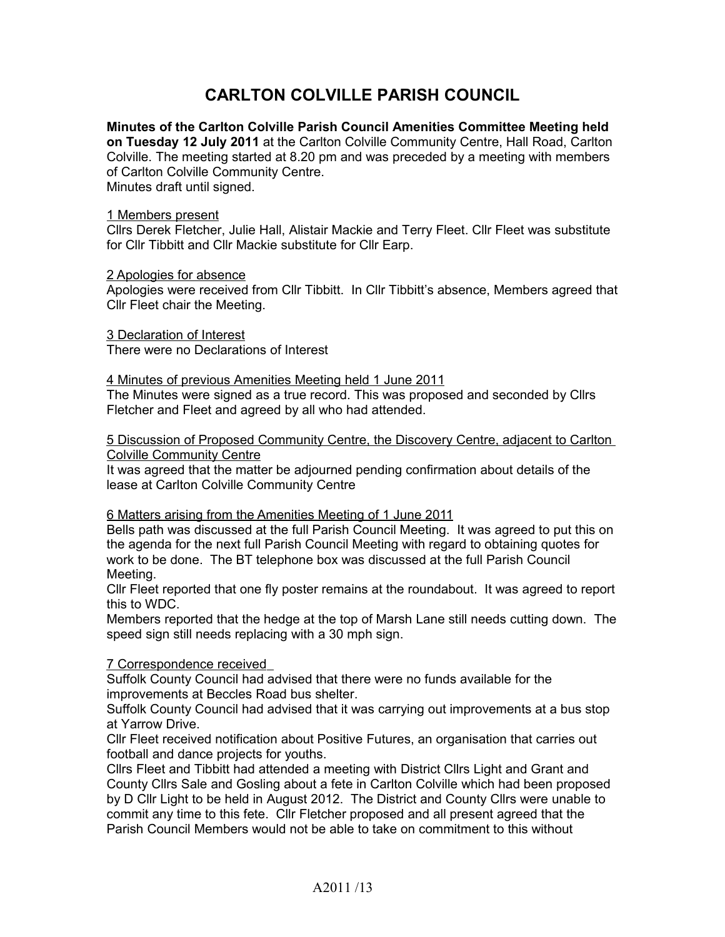# **CARLTON COLVILLE PARISH COUNCIL**

**Minutes of the Carlton Colville Parish Council Amenities Committee Meeting held on Tuesday 12 July 2011** at the Carlton Colville Community Centre, Hall Road, Carlton Colville. The meeting started at 8.20 pm and was preceded by a meeting with members of Carlton Colville Community Centre. Minutes draft until signed.

### 1 Members present

Cllrs Derek Fletcher, Julie Hall, Alistair Mackie and Terry Fleet. Cllr Fleet was substitute for Cllr Tibbitt and Cllr Mackie substitute for Cllr Earp.

#### 2 Apologies for absence

Apologies were received from Cllr Tibbitt. In Cllr Tibbitt's absence, Members agreed that Cllr Fleet chair the Meeting.

 3 Declaration of Interest There were no Declarations of Interest

#### 4 Minutes of previous Amenities Meeting held 1 June 2011

The Minutes were signed as a true record. This was proposed and seconded by Cllrs Fletcher and Fleet and agreed by all who had attended.

 5 Discussion of Proposed Community Centre, the Discovery Centre, adjacent to Carlton Colville Community Centre

It was agreed that the matter be adjourned pending confirmation about details of the lease at Carlton Colville Community Centre

## 6 Matters arising from the Amenities Meeting of 1 June 2011

Bells path was discussed at the full Parish Council Meeting. It was agreed to put this on the agenda for the next full Parish Council Meeting with regard to obtaining quotes for work to be done. The BT telephone box was discussed at the full Parish Council Meeting.

Cllr Fleet reported that one fly poster remains at the roundabout. It was agreed to report this to WDC.

Members reported that the hedge at the top of Marsh Lane still needs cutting down. The speed sign still needs replacing with a 30 mph sign.

## 7 Correspondence received

Suffolk County Council had advised that there were no funds available for the improvements at Beccles Road bus shelter.

Suffolk County Council had advised that it was carrying out improvements at a bus stop at Yarrow Drive.

Cllr Fleet received notification about Positive Futures, an organisation that carries out football and dance projects for youths.

Cllrs Fleet and Tibbitt had attended a meeting with District Cllrs Light and Grant and County Cllrs Sale and Gosling about a fete in Carlton Colville which had been proposed by D Cllr Light to be held in August 2012. The District and County Cllrs were unable to commit any time to this fete. Cllr Fletcher proposed and all present agreed that the Parish Council Members would not be able to take on commitment to this without